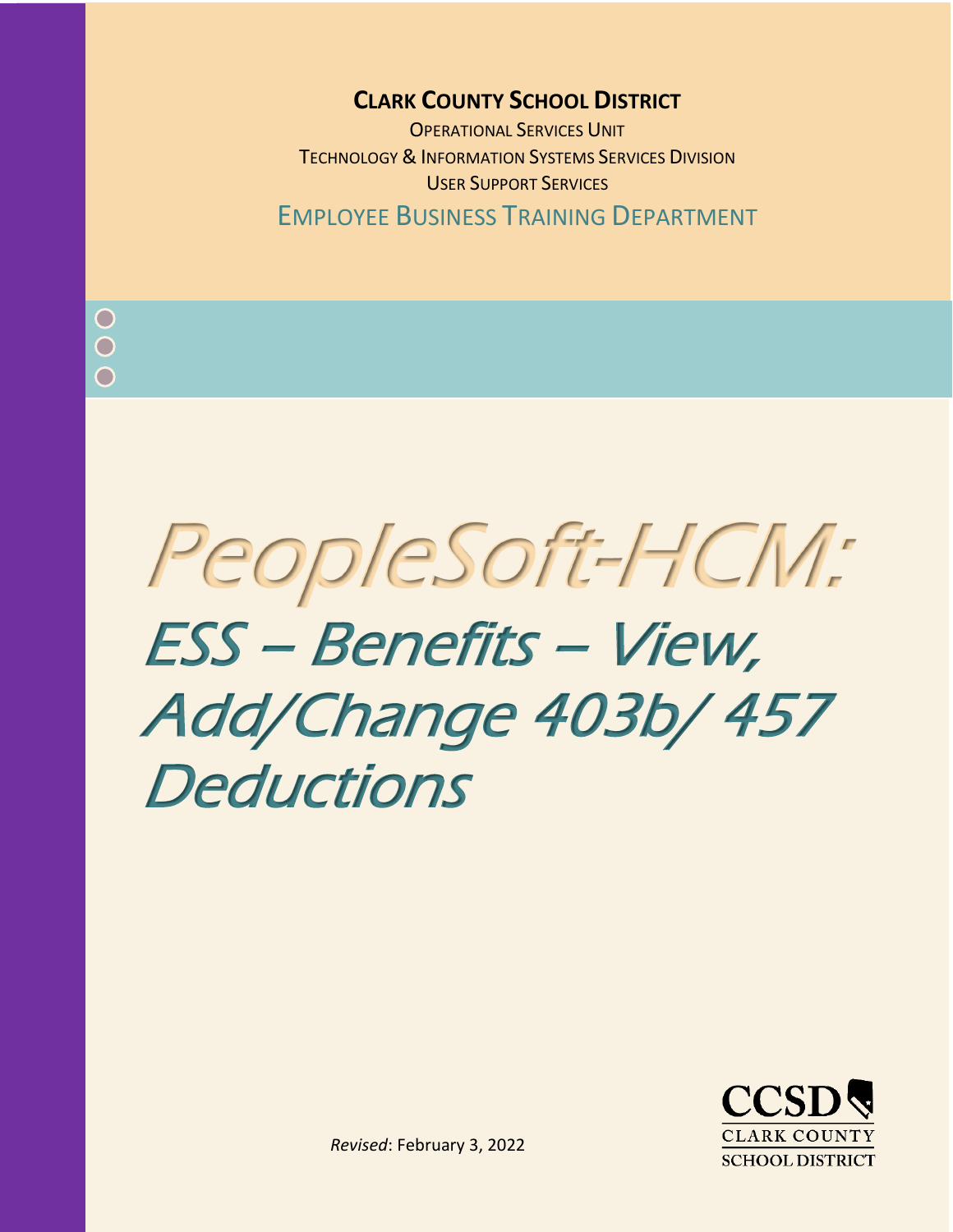## **CLARK COUNTY SCHOOL DISTRICT**

OPERATIONAL SERVICES UNIT TECHNOLOGY & INFORMATION SYSTEMS SERVICES DIVISION USER SUPPORT SERVICES EMPLOYEE BUSINESS TRAINING DEPARTMENT

PeopleSoft-HCM: ESS – Benefits – View, Add/Change 403b/ 457 **Deductions** 



*Revised*: February 3, 2022

*Rev. March 2020*

 $\bigcap$  $\bigcap$  $\bigcap$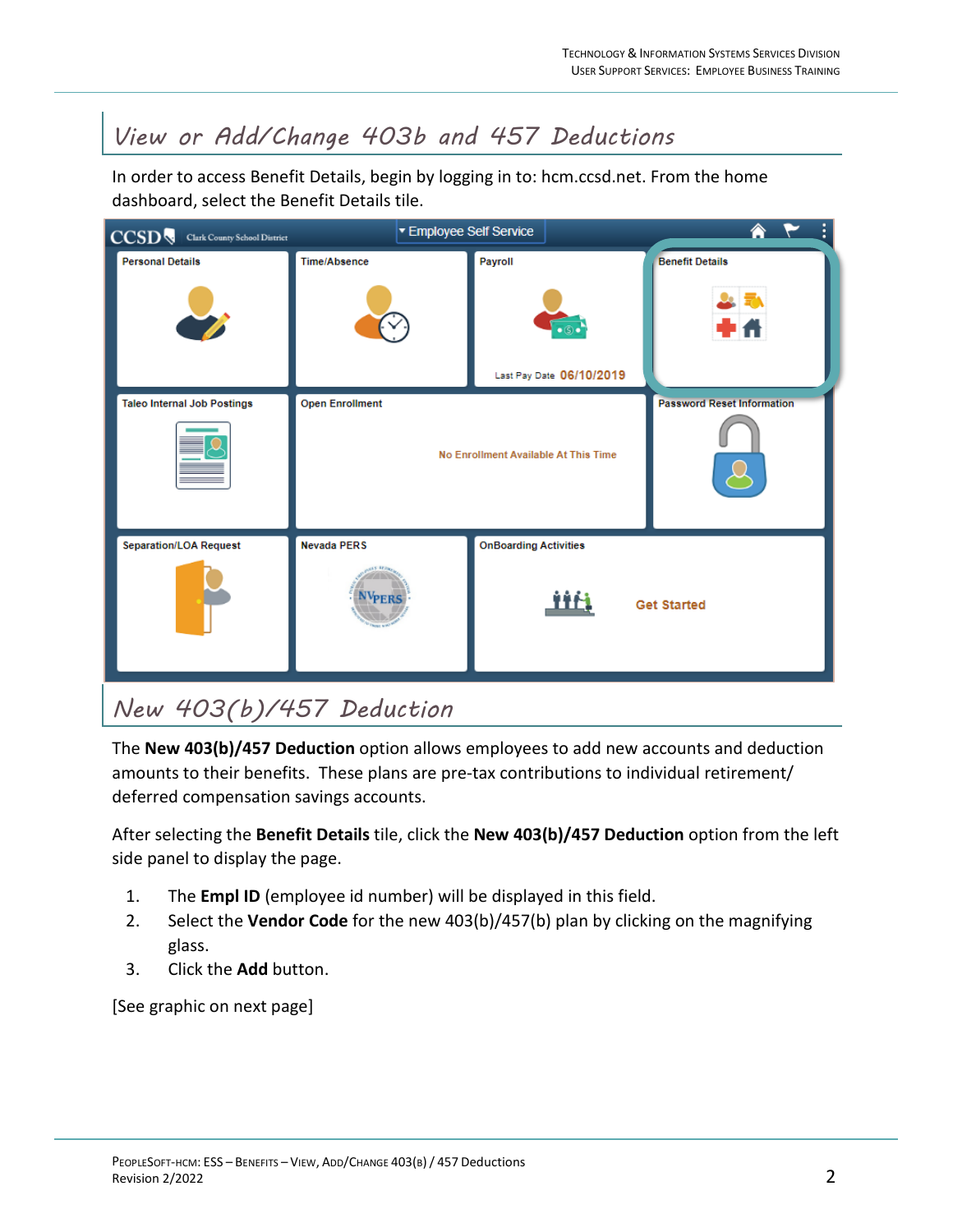## *View or Add/Change 403b and 457 Deductions*

In order to access Benefit Details, begin by logging in to: hcm.ccsd.net. From the home dashboard, select the Benefit Details tile.



## *New 403(b)/457 Deduction*

The **New 403(b)/457 Deduction** option allows employees to add new accounts and deduction amounts to their benefits. These plans are pre-tax contributions to individual retirement/ deferred compensation savings accounts.

After selecting the **Benefit Details** tile, click the **New 403(b)/457 Deduction** option from the left side panel to display the page.

- 1. The **Empl ID** (employee id number) will be displayed in this field.
- 2. Select the **Vendor Code** for the new 403(b)/457(b) plan by clicking on the magnifying glass.
- 3. Click the **Add** button.

[See graphic on next page]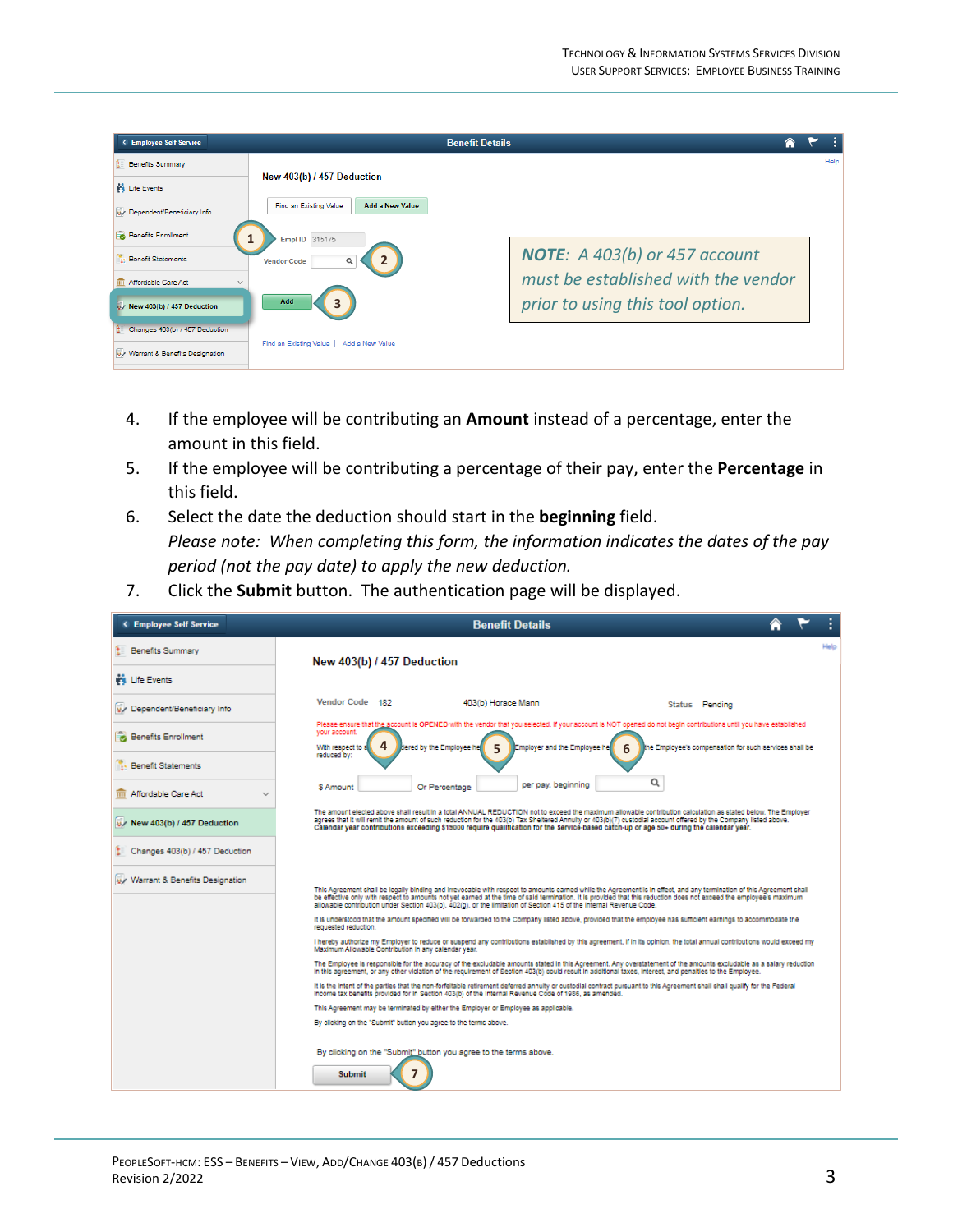| < Employee Self Service             |                                                  | <b>Benefit Details</b>               |  |      |
|-------------------------------------|--------------------------------------------------|--------------------------------------|--|------|
| <b>Benefits Summary</b>             |                                                  |                                      |  | Help |
| <b>Wi</b> Life Events               | New 403(b) / 457 Deduction                       |                                      |  |      |
| Dependent/Beneficiary Info          | Find an Existing Value<br><b>Add a New Value</b> |                                      |  |      |
| Benefits Enrollment                 | Empl ID 315175                                   |                                      |  |      |
| <b>Benefit Statements</b>           | $\overline{2}$<br><b>Vendor Code</b><br>Q        | <b>NOTE:</b> A 403(b) or 457 account |  |      |
| Affordable Care Act<br>$\checkmark$ |                                                  | must be established with the vendor  |  |      |
| U New 403(b) / 457 Deduction        | Add<br>3                                         | prior to using this tool option.     |  |      |
| Changes 403(b) / 457 Deduction      |                                                  |                                      |  |      |
| Warrant & Benefits Designation      | Find an Existing Value<br>Add a New Value        |                                      |  |      |

- 4. If the employee will be contributing an **Amount** instead of a percentage, enter the amount in this field.
- 5. If the employee will be contributing a percentage of their pay, enter the **Percentage** in this field.
- 6. Select the date the deduction should start in the **beginning** field. *Please note: When completing this form, the information indicates the dates of the pay period (not the pay date) to apply the new deduction.*
- 7. Click the **Submit** button. The authentication page will be displayed.

| < Employee Self Service        | <b>Benefit Details</b>                                                                                                                                                                                                                                                                                                                                                                                                                                                     |  |  |      |  |  |
|--------------------------------|----------------------------------------------------------------------------------------------------------------------------------------------------------------------------------------------------------------------------------------------------------------------------------------------------------------------------------------------------------------------------------------------------------------------------------------------------------------------------|--|--|------|--|--|
| <b>LE</b> Benefits Summary     | New 403(b) / 457 Deduction                                                                                                                                                                                                                                                                                                                                                                                                                                                 |  |  | Help |  |  |
| <b>Will Life Events</b>        |                                                                                                                                                                                                                                                                                                                                                                                                                                                                            |  |  |      |  |  |
| Dependent/Beneficiary Info     | Vendor Code 182<br>403(b) Horace Mann<br>Status Pending                                                                                                                                                                                                                                                                                                                                                                                                                    |  |  |      |  |  |
| <b>Benefits Enrollment</b>     | Please ensure that the account is OPENED with the vendor that you selected. If your account is NOT opened do not begin contributions until you have established<br>vour account.<br>4<br>With respect to s<br>bered by the Employee he<br>Employer and the Employee he<br>the Employee's compensation for such services shall be<br>6                                                                                                                                      |  |  |      |  |  |
| <b>Benefit Statements</b>      | reduced by:                                                                                                                                                                                                                                                                                                                                                                                                                                                                |  |  |      |  |  |
| m Affordable Care Act          | Q<br>per pay, beginning<br>Or Percentage<br><b>S Amount</b>                                                                                                                                                                                                                                                                                                                                                                                                                |  |  |      |  |  |
| W New 403(b) / 457 Deduction   | The amount elected above shall result in a total ANNUAL REDUCTION not to exceed the maximum allowable contribution calculation as stated below. The Employer<br>agrees that it will remit the amount of such reduction for the 403(b) Tax Sheltered Annulty or 403(b)(7) custodial account offered by the Company listed above.<br>Calendar year contributions exceeding \$15000 require qualification for the Service-based catch-up or age 50+ during the calendar year. |  |  |      |  |  |
| Changes 403(b) / 457 Deduction |                                                                                                                                                                                                                                                                                                                                                                                                                                                                            |  |  |      |  |  |
| Warrant & Benefits Designation | This Agreement shall be legally binding and irrevocable with respect to amounts earned while the Agreement is in effect, and any termination of this Agreement shall<br>be effective only with respect to amounts not yet earned at the time of said termination. It is provided that this reduction does not exceed the employee's maximum<br>allowable contribution under Section 403(b), 402(q), or the limitation of Section 415 of the Internal Revenue Code.         |  |  |      |  |  |
|                                | It is understood that the amount specified will be forwarded to the Company listed above, provided that the employee has sufficient earnings to accommodate the<br>requested reduction.                                                                                                                                                                                                                                                                                    |  |  |      |  |  |
|                                | I hereby authorize my Employer to reduce or suspend any contributions established by this agreement, if in its opinion, the total annual contributions would exceed my<br>Maximum Allowable Contribution in any calendar year.                                                                                                                                                                                                                                             |  |  |      |  |  |
|                                | The Employee is responsible for the accuracy of the excludable amounts stated in this Agreement. Any overstatement of the amounts excludable as a salary reduction<br>In this agreement, or any other violation of the requirement of Section 403(b) could result in additional taxes, interest, and penalties to the Employee.                                                                                                                                            |  |  |      |  |  |
|                                | It is the intent of the parties that the non-forfeitable retirement deferred annuity or custodial contract pursuant to this Agreement shall shall qualify for the Federal<br>Income tax benefits provided for in Section 403(b) of the Internal Revenue Code of 1986, as amended.                                                                                                                                                                                          |  |  |      |  |  |
|                                | This Agreement may be terminated by either the Employer or Employee as applicable.<br>By clicking on the "Submit" button you agree to the terms above.                                                                                                                                                                                                                                                                                                                     |  |  |      |  |  |
|                                |                                                                                                                                                                                                                                                                                                                                                                                                                                                                            |  |  |      |  |  |
|                                | By clicking on the "Submit" button you agree to the terms above.<br><b>Submit</b><br>7                                                                                                                                                                                                                                                                                                                                                                                     |  |  |      |  |  |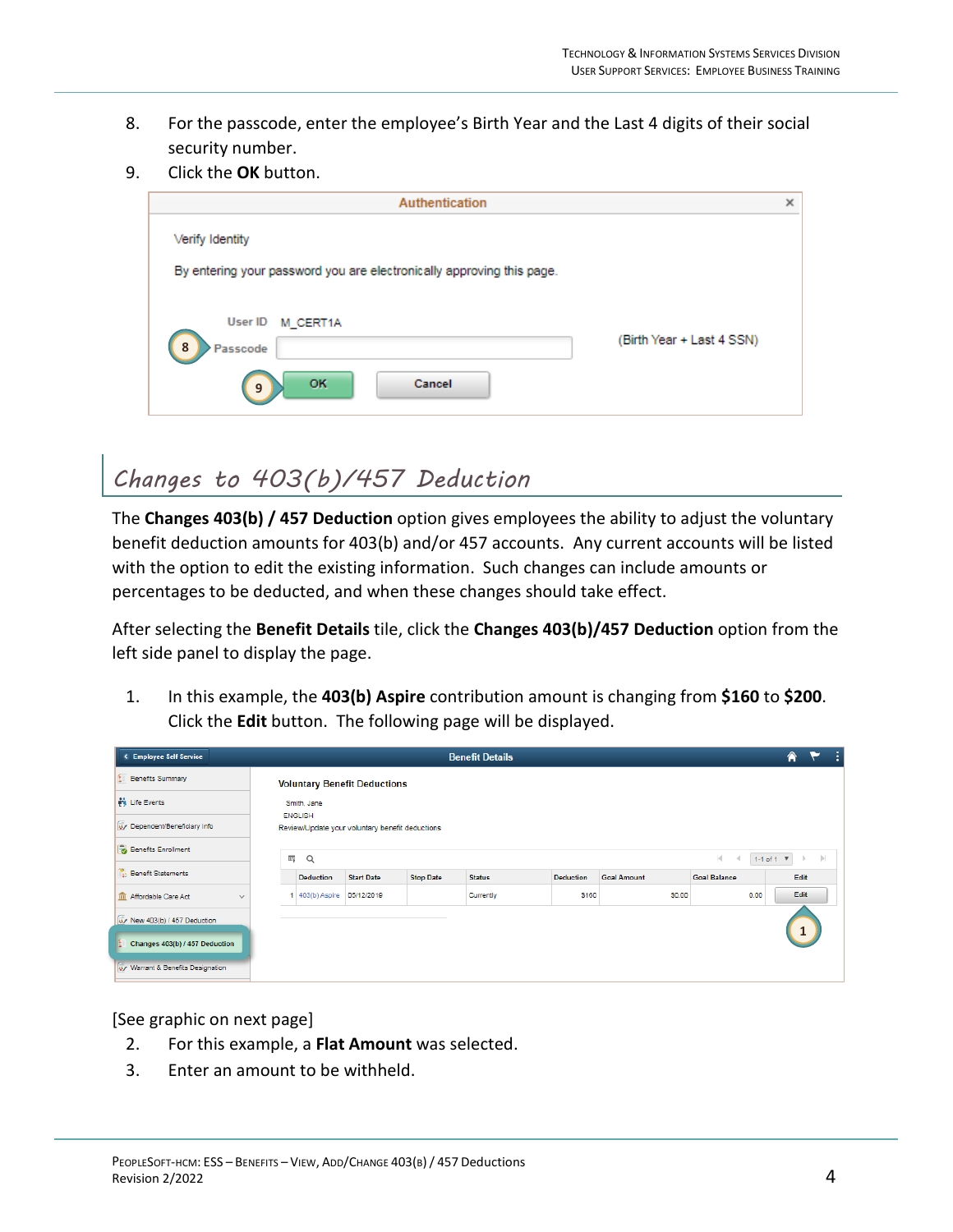- 8. For the passcode, enter the employee's Birth Year and the Last 4 digits of their social security number.
- 9. Click the **OK** button.

| Authentication                                                           | × |
|--------------------------------------------------------------------------|---|
| Verify Identity                                                          |   |
| By entering your password you are electronically approving this page.    |   |
|                                                                          |   |
| <b>User ID</b><br>M CERT1A<br>(Birth Year + Last 4 SSN)<br>8<br>Passcode |   |
| <b>OK</b><br><b>Cancel</b><br>9                                          |   |

## *Changes to 403(b)/457 Deduction*

The **Changes 403(b) / 457 Deduction** option gives employees the ability to adjust the voluntary benefit deduction amounts for 403(b) and/or 457 accounts. Any current accounts will be listed with the option to edit the existing information. Such changes can include amounts or percentages to be deducted, and when these changes should take effect.

After selecting the **Benefit Details** tile, click the **Changes 403(b)/457 Deduction** option from the left side panel to display the page.

1. In this example, the **403(b) Aspire** contribution amount is changing from **\$160** to **\$200**. Click the **Edit** button. The following page will be displayed.

| <b>4 Employee Self Service</b>        |                                                                                              |                   |                  | <b>Benefit Details</b> |                  |                    |                     | 侖    |              |  |
|---------------------------------------|----------------------------------------------------------------------------------------------|-------------------|------------------|------------------------|------------------|--------------------|---------------------|------|--------------|--|
| <b>Benefits Summary</b><br>Œ.         | <b>Voluntary Benefit Deductions</b>                                                          |                   |                  |                        |                  |                    |                     |      |              |  |
| <b>PS</b> Life Events                 | Smith, Jane                                                                                  |                   |                  |                        |                  |                    |                     |      |              |  |
| Dependent/Beneficiary Info            | <b>ENGLISH</b><br>Review/Update your voluntary benefit deductions                            |                   |                  |                        |                  |                    |                     |      |              |  |
| Benefits Enrollment                   | ΞŢ<br>$\rightarrow$<br>$\alpha$<br>$\mathbb{R}$<br>1-1 of 1 $\overline{v}$<br>$\,$<br>$\sim$ |                   |                  |                        |                  |                    |                     |      |              |  |
| <b>Benefit Statements</b>             | <b>Deduction</b>                                                                             | <b>Start Date</b> | <b>Stop Date</b> | <b>Status</b>          | <b>Deduction</b> | <b>Goal Amount</b> | <b>Goal Balance</b> |      | Edit         |  |
| m Affordable Care Act<br>$\checkmark$ | 403(b) Aspire 05/12/2019                                                                     |                   |                  | Currently              | \$160            | \$0.00             |                     | 0.00 | Edit         |  |
| W New 403(b) / 457 Deduction          |                                                                                              |                   |                  |                        |                  |                    |                     |      | $\mathbf{1}$ |  |
| Changes 403(b) / 457 Deduction        |                                                                                              |                   |                  |                        |                  |                    |                     |      |              |  |
| Warrant & Benefits Designation        |                                                                                              |                   |                  |                        |                  |                    |                     |      |              |  |

[See graphic on next page]

- 2. For this example, a **Flat Amount** was selected.
- 3. Enter an amount to be withheld.